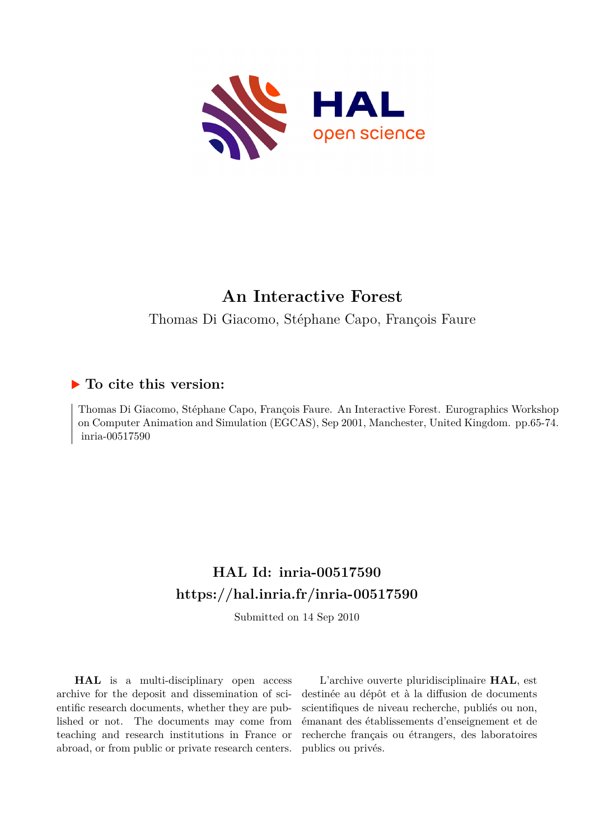

# **An Interactive Forest**

Thomas Di Giacomo, Stéphane Capo, François Faure

# **To cite this version:**

Thomas Di Giacomo, Stéphane Capo, François Faure. An Interactive Forest. Eurographics Workshop on Computer Animation and Simulation (EGCAS), Sep 2001, Manchester, United Kingdom. pp.65-74. inria-00517590

# **HAL Id: inria-00517590 <https://hal.inria.fr/inria-00517590>**

Submitted on 14 Sep 2010

**HAL** is a multi-disciplinary open access archive for the deposit and dissemination of scientific research documents, whether they are published or not. The documents may come from teaching and research institutions in France or abroad, or from public or private research centers.

L'archive ouverte pluridisciplinaire **HAL**, est destinée au dépôt et à la diffusion de documents scientifiques de niveau recherche, publiés ou non, émanant des établissements d'enseignement et de recherche français ou étrangers, des laboratoires publics ou privés.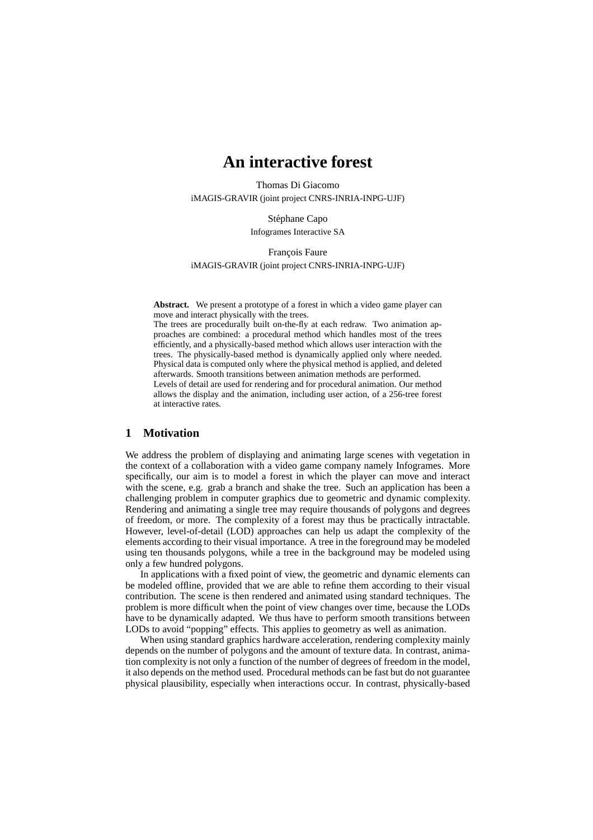# **An interactive forest**

Thomas Di Giacomo iMAGIS-GRAVIR (joint project CNRS-INRIA-INPG-UJF)

> Stéphane Capo Infogrames Interactive SA

François Faure iMAGIS-GRAVIR (joint project CNRS-INRIA-INPG-UJF)

**Abstract.** We present a prototype of a forest in which a video game player can move and interact physically with the trees.

The trees are procedurally built on-the-fly at each redraw. Two animation approaches are combined: a procedural method which handles most of the trees efficiently, and a physically-based method which allows user interaction with the trees. The physically-based method is dynamically applied only where needed. Physical data is computed only where the physical method is applied, and deleted afterwards. Smooth transitions between animation methods are performed. Levels of detail are used for rendering and for procedural animation. Our method allows the display and the animation, including user action, of a 256-tree forest at interactive rates.

#### **1 Motivation**

We address the problem of displaying and animating large scenes with vegetation in the context of a collaboration with a video game company namely Infogrames. More specifically, our aim is to model a forest in which the player can move and interact with the scene, e.g. grab a branch and shake the tree. Such an application has been a challenging problem in computer graphics due to geometric and dynamic complexity. Rendering and animating a single tree may require thousands of polygons and degrees of freedom, or more. The complexity of a forest may thus be practically intractable. However, level-of-detail (LOD) approaches can help us adapt the complexity of the elements according to their visual importance. A tree in the foreground may be modeled using ten thousands polygons, while a tree in the background may be modeled using only a few hundred polygons.

In applications with a fixed point of view, the geometric and dynamic elements can be modeled offline, provided that we are able to refine them according to their visual contribution. The scene is then rendered and animated using standard techniques. The problem is more difficult when the point of view changes over time, because the LODs have to be dynamically adapted. We thus have to perform smooth transitions between LODs to avoid "popping" effects. This applies to geometry as well as animation.

When using standard graphics hardware acceleration, rendering complexity mainly depends on the number of polygons and the amount of texture data. In contrast, animation complexity is not only a function of the number of degrees of freedom in the model, it also depends on the method used. Procedural methods can be fast but do not guarantee physical plausibility, especially when interactions occur. In contrast, physically-based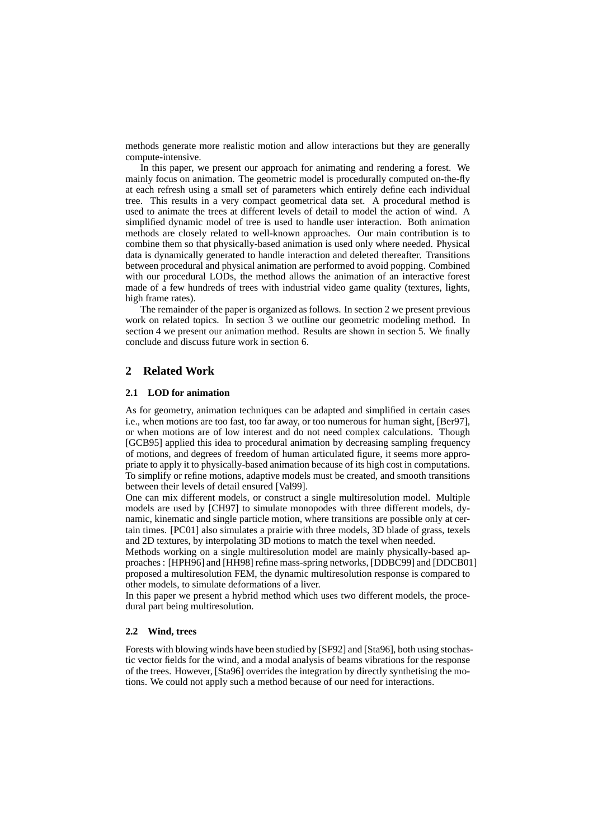methods generate more realistic motion and allow interactions but they are generally compute-intensive.

In this paper, we present our approach for animating and rendering a forest. We mainly focus on animation. The geometric model is procedurally computed on-the-fly at each refresh using a small set of parameters which entirely define each individual tree. This results in a very compact geometrical data set. A procedural method is used to animate the trees at different levels of detail to model the action of wind. A simplified dynamic model of tree is used to handle user interaction. Both animation methods are closely related to well-known approaches. Our main contribution is to combine them so that physically-based animation is used only where needed. Physical data is dynamically generated to handle interaction and deleted thereafter. Transitions between procedural and physical animation are performed to avoid popping. Combined with our procedural LODs, the method allows the animation of an interactive forest made of a few hundreds of trees with industrial video game quality (textures, lights, high frame rates).

The remainder of the paper is organized as follows. In section 2 we present previous work on related topics. In section 3 we outline our geometric modeling method. In section 4 we present our animation method. Results are shown in section 5. We finally conclude and discuss future work in section 6.

## **2 Related Work**

#### **2.1 LOD for animation**

As for geometry, animation techniques can be adapted and simplified in certain cases i.e., when motions are too fast, too far away, or too numerous for human sight, [Ber97], or when motions are of low interest and do not need complex calculations. Though [GCB95] applied this idea to procedural animation by decreasing sampling frequency of motions, and degrees of freedom of human articulated figure, it seems more appropriate to apply it to physically-based animation because of its high cost in computations. To simplify or refine motions, adaptive models must be created, and smooth transitions between their levels of detail ensured [Val99].

One can mix different models, or construct a single multiresolution model. Multiple models are used by [CH97] to simulate monopodes with three different models, dynamic, kinematic and single particle motion, where transitions are possible only at certain times. [PC01] also simulates a prairie with three models, 3D blade of grass, texels and 2D textures, by interpolating 3D motions to match the texel when needed.

Methods working on a single multiresolution model are mainly physically-based approaches : [HPH96] and [HH98] refine mass-spring networks, [DDBC99] and [DDCB01] proposed a multiresolution FEM, the dynamic multiresolution response is compared to other models, to simulate deformations of a liver.

In this paper we present a hybrid method which uses two different models, the procedural part being multiresolution.

#### **2.2 Wind, trees**

Forests with blowing winds have been studied by [SF92] and [Sta96], both using stochastic vector fields for the wind, and a modal analysis of beams vibrations for the response of the trees. However, [Sta96] overrides the integration by directly synthetising the motions. We could not apply such a method because of our need for interactions.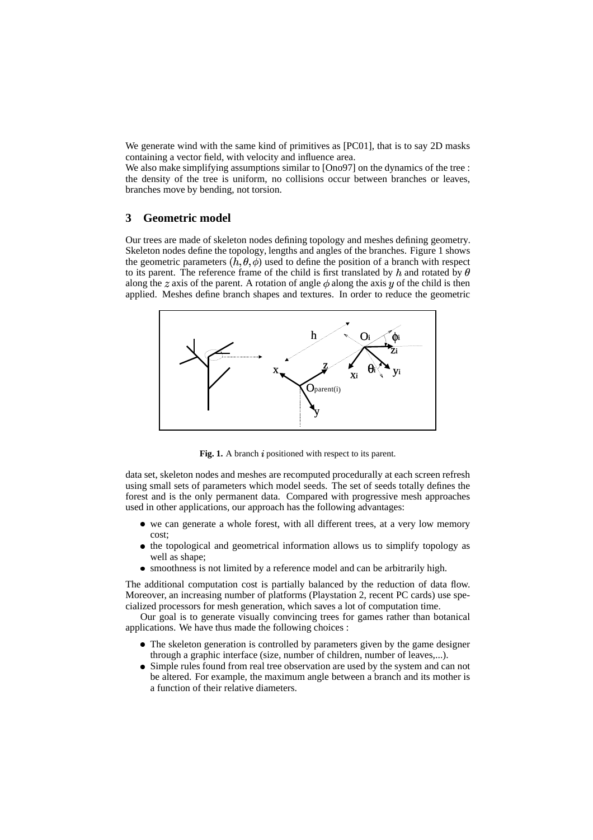We generate wind with the same kind of primitives as [PC01], that is to say 2D masks containing a vector field, with velocity and influence area.

We also make simplifying assumptions similar to [Ono97] on the dynamics of the tree : the density of the tree is uniform, no collisions occur between branches or leaves, branches move by bending, not torsion.

## **3 Geometric model**

Our trees are made of skeleton nodes defining topology and meshes defining geometry. Skeleton nodes define the topology, lengths and angles of the branches. Figure 1 shows the geometric parameters  $(h, \theta, \phi)$  used to define the position of a branch with respect to its parent. The reference frame of the child is first translated by  $h$  and rotated by  $\theta$ along the z axis of the parent. A rotation of angle  $\phi$  along the axis y of the child is then applied. Meshes define branch shapes and textures. In order to reduce the geometric



Fig. 1. A branch  $i$  positioned with respect to its parent.

data set, skeleton nodes and meshes are recomputed procedurally at each screen refresh using small sets of parameters which model seeds. The set of seeds totally defines the forest and is the only permanent data. Compared with progressive mesh approaches used in other applications, our approach has the following advantages:

- we can generate a whole forest, with all different trees, at a very low memory cost;
- the topological and geometrical information allows us to simplify topology as  $\bullet$ well as shape;
- smoothness is not limited by a reference model and can be arbitrarily high.

The additional computation cost is partially balanced by the reduction of data flow. Moreover, an increasing number of platforms (Playstation 2, recent PC cards) use specialized processors for mesh generation, which saves a lot of computation time.

Our goal is to generate visually convincing trees for games rather than botanical applications. We have thus made the following choices :

- The skeleton generation is controlled by parameters given by the game designer through a graphic interface (size, number of children, number of leaves,...).
- Simple rules found from real tree observation are used by the system and can not  $\bullet$ be altered. For example, the maximum angle between a branch and its mother is a function of their relative diameters.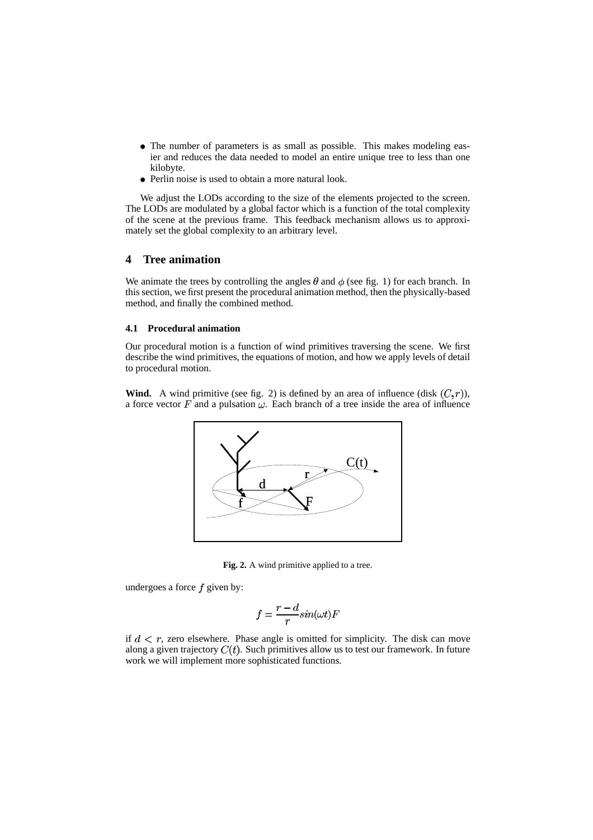- The number of parameters is as small as possible. This makes modeling easier and reduces the data needed to model an entire unique tree to less than one kilobyte.
- Perlin noise is used to obtain a more natural look.

We adjust the LODs according to the size of the elements projected to the screen. The LODs are modulated by a global factor which is a function of the total complexity of the scene at the previous frame. This feedback mechanism allows us to approximately set the global complexity to an arbitrary level.

## **4 Tree animation**

We animate the trees by controlling the angles  $\theta$  and  $\phi$  (see fig. 1) for each branch. In this section, we first present the procedural animation method, then the physically-based method, and finally the combined method.

#### **4.1 Procedural animation**

Our procedural motion is a function of wind primitives traversing the scene. We first describe the wind primitives, the equations of motion, and how we apply levels of detail to procedural motion.

**Wind.** A wind primitive (see fig. 2) is defined by an area of influence (disk  $(C, r)$ ), a force vector  $F$  and a pulsation  $\omega$ . Each branch of a tree inside the area of influence



Fig. 2. A wind primitive applied to a tree.

undergoes a force  $f$  given by:

$$
f = \frac{r - d}{r} \sin(\omega t) F
$$

if  $d < r$ , zero elsewhere. Phase angle is omitted for simplicity. The disk can move along a given trajectory  $C(t)$ . Such primitives allow us to test our framework. In future work we will implement more sophisticated functions.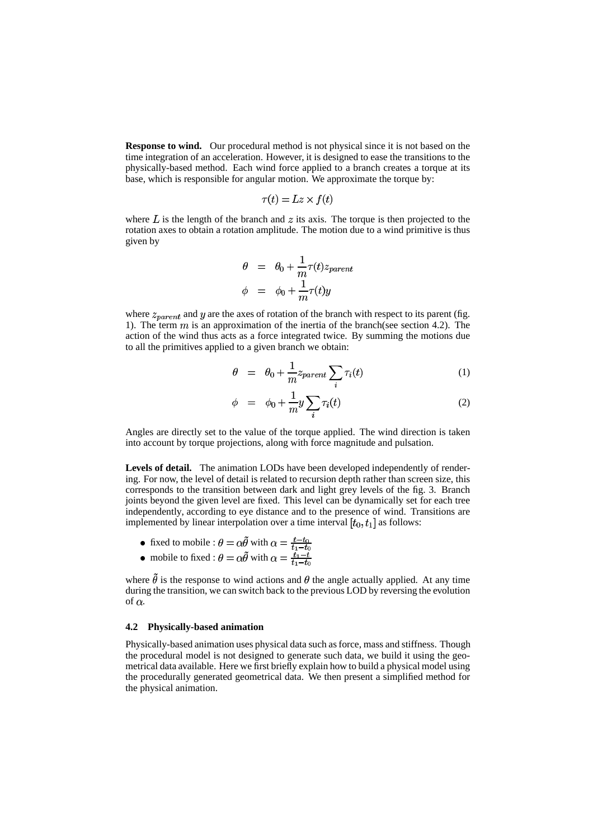**Response to wind.** Our procedural method is not physical since it is not based on the time integration of an acceleration. However, it is designed to ease the transitions to the physically-based method. Each wind force applied to a branch creates a torque at its base, which is responsible for angular motion. We approximate the torque by:

$$
\tau(t) = Lz \times f(t)
$$

where  $L$  is the length of the branch and  $z$  its axis. The torque is then projected to the rotation axes to obtain a rotation amplitude. The motion due to a wind primitive is thus given by

$$
\theta = \theta_0 + \frac{1}{m}\tau(t)z_{parent}
$$
  

$$
\phi = \phi_0 + \frac{1}{m}\tau(t)y
$$

where  $z_{parent}$  and y are the axes of rotation of the branch with respect to its parent (fig. 1). The term  $m$  is an approximation of the inertia of the branch(see section 4.2). The action of the wind thus acts as a force integrated twice. By summing the motions due to all the primitives applied to a given branch we obtain:

$$
\theta = \theta_0 + \frac{1}{m} z_{parent} \sum_i \tau_i(t) \tag{1}
$$

$$
\phi = \phi_0 + \frac{1}{m} y \sum_i \tau_i(t) \tag{2}
$$

Angles are directly set to the value of the torque applied. The wind direction is taken into account by torque projections, along with force magnitude and pulsation.

Levels of detail. The animation LODs have been developed independently of rendering. For now, the level of detail is related to recursion depth rather than screen size, this corresponds to the transition between dark and light grey levels of the fig. 3. Branch joints beyond the given level are fixed. This level can be dynamically set for each tree independently, according to eye distance and to the presence of wind. Transitions are implemented by linear interpolation over a time interval  $[t_0, t_1]$  as follows:

- fixed to mobile :  $\theta = \alpha \theta$  with
- mobile to fixed :  $\theta = \alpha \theta$  with

where  $\tilde{\theta}$  is the response to wind actions and  $\theta$  the angle actually applied. At any time during the transition, we can switch back to the previous LOD by reversing the evolution of  $\alpha$ .

#### **4.2 Physically-based animation**

Physically-based animation uses physical data such as force, mass and stiffness. Though the procedural model is not designed to generate such data, we build it using the geometrical data available. Here we first briefly explain how to build a physical model using the procedurally generated geometrical data. We then present a simplified method for the physical animation.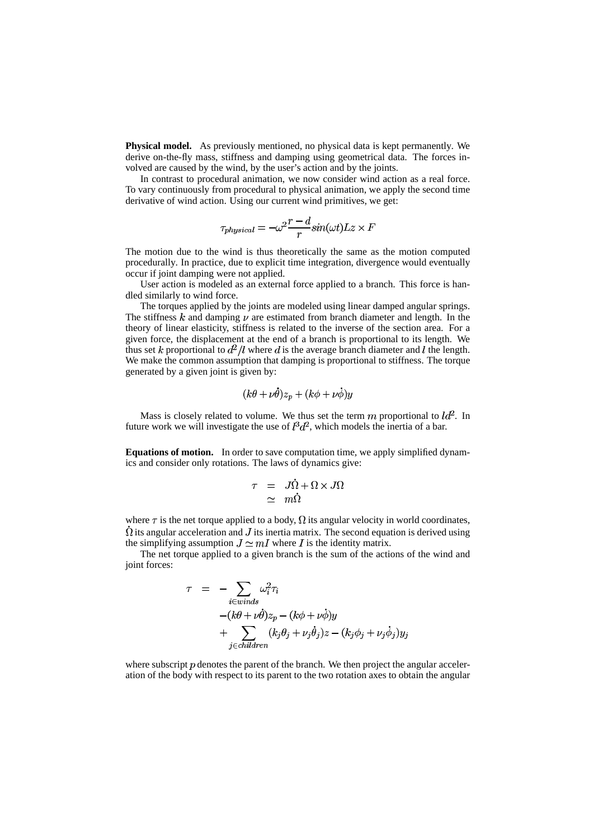**Physical model.** As previously mentioned, no physical data is kept permanently. We derive on-the-fly mass, stiffness and damping using geometrical data. The forces involved are caused by the wind, by the user's action and by the joints.

In contrast to procedural animation, we now consider wind action as a real force. To vary continuously from procedural to physical animation, we apply the second time derivative of wind action. Using our current wind primitives, we get:

$$
\tau_{physical} = -\omega^2 \frac{r-d}{r} sin(\omega t) Lz \times F
$$

The motion due to the wind is thus theoretically the same as the motion computed procedurally. In practice, due to explicit time integration, divergence would eventually occur if joint damping were not applied.

User action is modeled as an external force applied to a branch. This force is handled similarly to wind force.

The torques applied by the joints are modeled using linear damped angular springs. The stiffness k and damping  $\nu$  are estimated from branch diameter and length. In the theory of linear elasticity, stiffness is related to the inverse of the section area. For a given force, the displacement at the end of a branch is proportional to its length. We thus set k proportional to  $d^2/l$  where d is the average branch diameter and l the length. We make the common assumption that damping is proportional to stiffness. The torque generated by a given joint is given by:

$$
(k\theta + \nu \dot{\theta})z_p + (k\phi + \nu \dot{\phi})y
$$

Mass is closely related to volume. We thus set the term  $m$  proportional to  $\mathcal{U}^2$ . In future work we will investigate the use of  $l^3 d^2$ , which models the inertia of a bar.

**Equations of motion.** In order to save computation time, we apply simplified dynamics and consider only rotations. The laws of dynamics give:

$$
\begin{array}{rcl}\n\tau & = & J\dot{\Omega} + \Omega \times J\Omega \\
& \simeq & m\dot{\Omega}\n\end{array}
$$

where  $\tau$  is the net torque applied to a body,  $\Omega$  its angular velocity in world coordinates,  $\dot{\Omega}$  its angular acceleration and J its inertia matrix. The second equation is derived using the simplifying assumption  $J \simeq mI$  where I is the identity matrix.

The net torque applied to a given branch is the sum of the actions of the wind and joint forces:

$$
\tau = -\sum_{i \in winds} \omega_i^2 \tau_i
$$
  
 
$$
-(k\theta + \nu \dot{\theta})z_p - (k\phi + \nu \dot{\phi})y
$$
  
 
$$
+ \sum_{j \in children} (k_j \theta_j + \nu_j \dot{\theta}_j)z - (k_j \phi_j + \nu_j \dot{\phi}_j)y_j
$$

where subscript  $p$  denotes the parent of the branch. We then project the angular acceleration of the body with respect to its parent to the two rotation axes to obtain the angular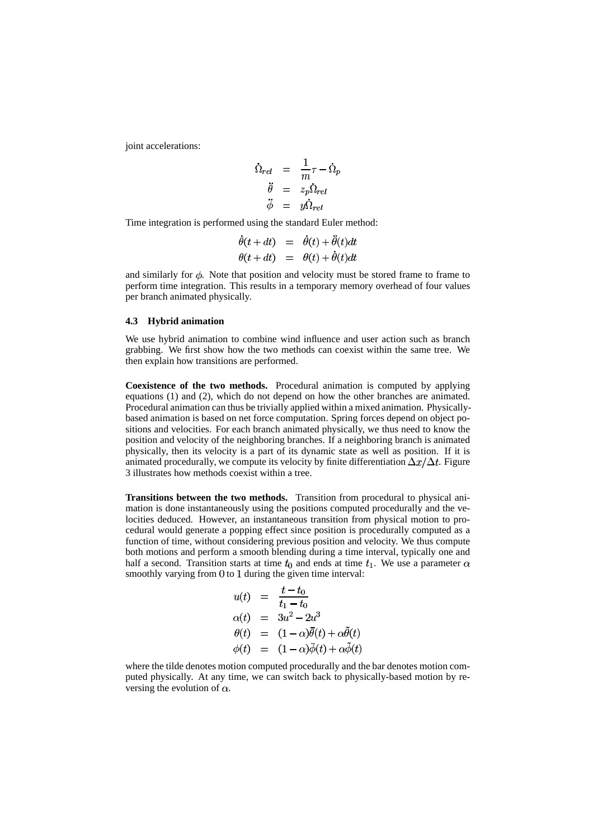joint accelerations:

$$
\begin{array}{rcl}\n\dot{\Omega}_{rel} & = & \frac{1}{m}\tau - \dot{\Omega}_{p} \\
\ddot{\theta} & = & z_{p}\dot{\Omega}_{rel} \\
\ddot{\phi} & = & y\dot{\Omega}_{rel}\n\end{array}
$$

Time integration is performed using the standard Euler method:

$$
\begin{array}{rcl}\n\dot{\theta}(t+dt) & = & \dot{\theta}(t) + \dot{\theta}(t)dt \\
\theta(t+dt) & = & \theta(t) + \dot{\theta}(t)dt\n\end{array}
$$

and similarly for  $\phi$ . Note that position and velocity must be stored frame to frame to perform time integration. This results in a temporary memory overhead of four values per branch animated physically.

#### **4.3 Hybrid animation**

We use hybrid animation to combine wind influence and user action such as branch grabbing. We first show how the two methods can coexist within the same tree. We then explain how transitions are performed.

**Coexistence of the two methods.** Procedural animation is computed by applying equations (1) and (2), which do not depend on how the other branches are animated. Procedural animation can thus be trivially applied within a mixed animation. Physicallybased animation is based on net force computation. Spring forces depend on object positions and velocities. For each branch animated physically, we thus need to know the position and velocity of the neighboring branches. If a neighboring branch is animated physically, then its velocity is a part of its dynamic state as well as position. If it is animated procedurally, we compute its velocity by finite differentiation  $\Delta x/\Delta t$ . Figure 3 illustrates how methods coexist within a tree.

**Transitions between the two methods.** Transition from procedural to physical animation is done instantaneously using the positions computed procedurally and the velocities deduced. However, an instantaneous transition from physical motion to procedural would generate a popping effect since position is procedurally computed as a function of time, without considering previous position and velocity. We thus compute both motions and perform a smooth blending during a time interval, typically one and half a second. Transition starts at time  $t_0$  and ends at time  $t_1$ . We use a parameter  $\alpha$ smoothly varying from  $\theta$  to 1 during the given time interval:

$$
u(t) = \frac{t - t_0}{t_1 - t_0}
$$
  
\n
$$
\alpha(t) = 3u^2 - 2u^3
$$
  
\n
$$
\theta(t) = (1 - \alpha)\bar{\theta}(t) + \alpha\tilde{\theta}(t)
$$
  
\n
$$
\phi(t) = (1 - \alpha)\bar{\phi}(t) + \alpha\tilde{\phi}(t)
$$

where the tilde denotes motion computed procedurally and the bar denotes motion computed physically. At any time, we can switch back to physically-based motion by reversing the evolution of  $\alpha$ .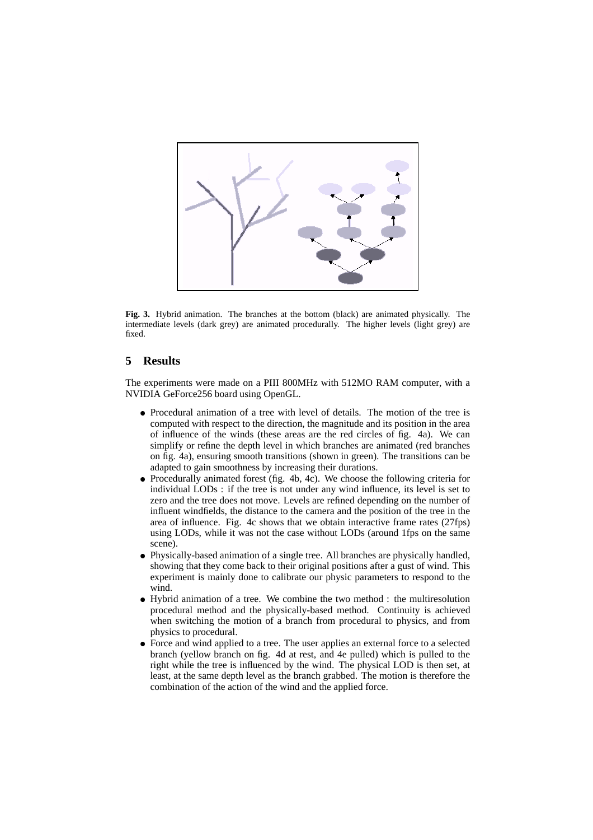

**Fig. 3.** Hybrid animation. The branches at the bottom (black) are animated physically. The intermediate levels (dark grey) are animated procedurally. The higher levels (light grey) are fixed.

## **5 Results**

The experiments were made on a PIII 800MHz with 512MO RAM computer, with a NVIDIA GeForce256 board using OpenGL.

- Procedural animation of a tree with level of details. The motion of the tree is computed with respect to the direction, the magnitude and its position in the area of influence of the winds (these areas are the red circles of fig. 4a). We can simplify or refine the depth level in which branches are animated (red branches on fig. 4a), ensuring smooth transitions (shown in green). The transitions can be adapted to gain smoothness by increasing their durations.
- Procedurally animated forest (fig. 4b, 4c). We choose the following criteria for individual LODs : if the tree is not under any wind influence, its level is set to zero and the tree does not move. Levels are refined depending on the number of influent windfields, the distance to the camera and the position of the tree in the area of influence. Fig. 4c shows that we obtain interactive frame rates (27fps) using LODs, while it was not the case without LODs (around 1fps on the same scene).
- Physically-based animation of a single tree. All branches are physically handled, showing that they come back to their original positions after a gust of wind. This experiment is mainly done to calibrate our physic parameters to respond to the wind.
- Hybrid animation of a tree. We combine the two method : the multiresolution procedural method and the physically-based method. Continuity is achieved when switching the motion of a branch from procedural to physics, and from physics to procedural.
- Force and wind applied to a tree. The user applies an external force to a selected  $\bullet$ branch (yellow branch on fig. 4d at rest, and 4e pulled) which is pulled to the right while the tree is influenced by the wind. The physical LOD is then set, at least, at the same depth level as the branch grabbed. The motion is therefore the combination of the action of the wind and the applied force.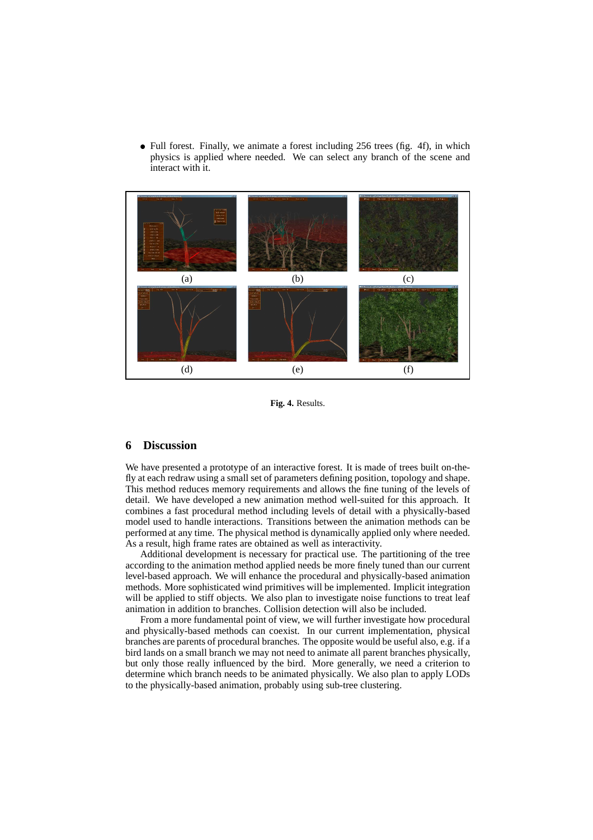• Full forest. Finally, we animate a forest including 256 trees (fig. 4f), in which physics is applied where needed. We can select any branch of the scene and interact with it.



**Fig. 4.** Results.

#### **6 Discussion**

We have presented a prototype of an interactive forest. It is made of trees built on-thefly at each redraw using a small set of parameters defining position, topology and shape. This method reduces memory requirements and allows the fine tuning of the levels of detail. We have developed a new animation method well-suited for this approach. It combines a fast procedural method including levels of detail with a physically-based model used to handle interactions. Transitions between the animation methods can be performed at any time. The physical method is dynamically applied only where needed. As a result, high frame rates are obtained as well as interactivity.

Additional development is necessary for practical use. The partitioning of the tree according to the animation method applied needs be more finely tuned than our current level-based approach. We will enhance the procedural and physically-based animation methods. More sophisticated wind primitives will be implemented. Implicit integration will be applied to stiff objects. We also plan to investigate noise functions to treat leaf animation in addition to branches. Collision detection will also be included.

From a more fundamental point of view, we will further investigate how procedural and physically-based methods can coexist. In our current implementation, physical branches are parents of procedural branches. The opposite would be useful also, e.g. if a bird lands on a small branch we may not need to animate all parent branches physically, but only those really influenced by the bird. More generally, we need a criterion to determine which branch needs to be animated physically. We also plan to apply LODs to the physically-based animation, probably using sub-tree clustering.